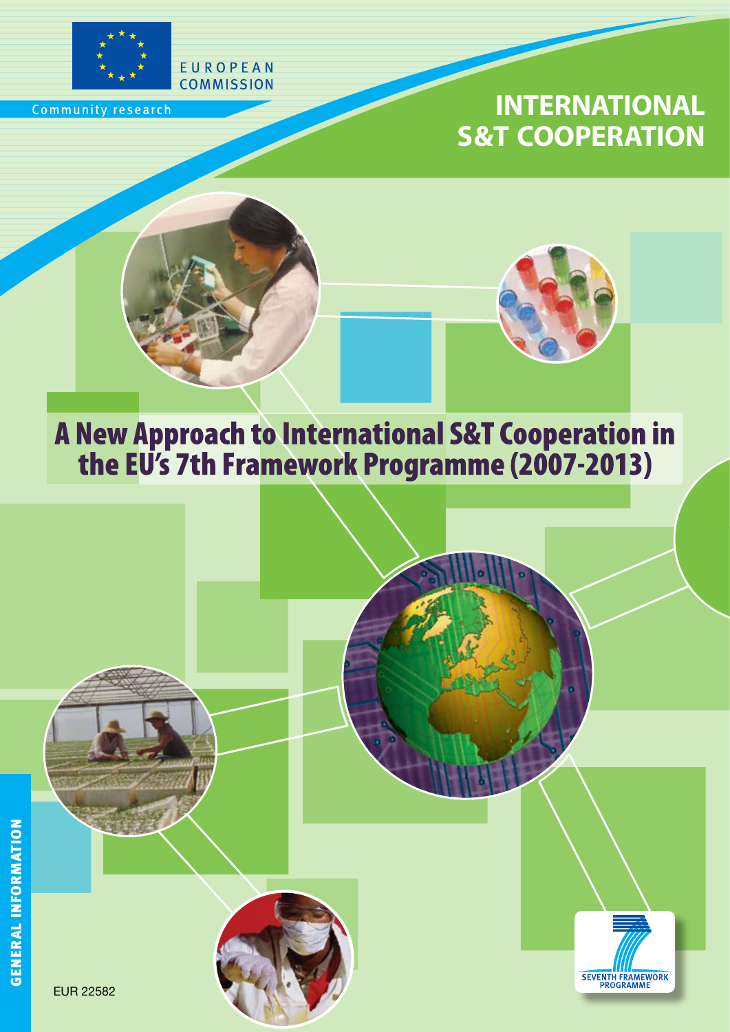

Community research

## **INTERNATIONAL S&T COOPERATION**



EUROPEAN **COMMISSION** 



# A New Approach to International S&T Cooperation in<br>the EU's 7th Framework Programme (2007-2013)



EUR 22582



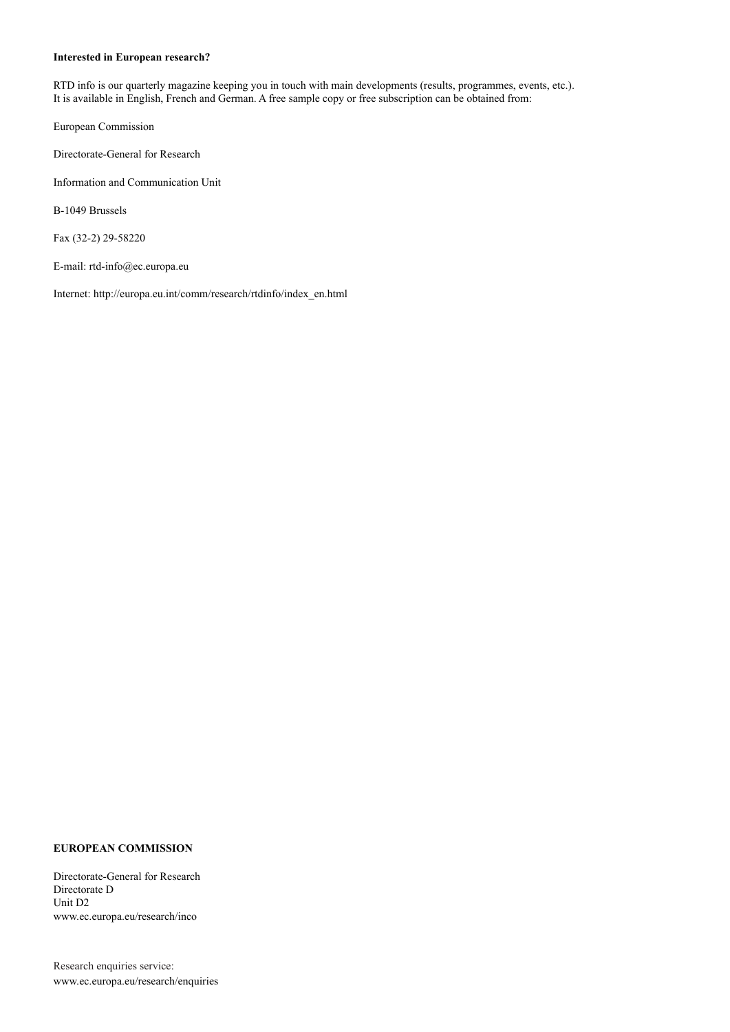#### **Interested in European research?**

RTD info is our quarterly magazine keeping you in touch with main developments (results, programmes, events, etc.). It is available in English, French and German. A free sample copy or free subscription can be obtained from:

European Commission

Directorate-General for Research

Information and Communication Unit

B-1049 Brussels

Fax (32-2) 29-58220

E-mail: rtd-info@ec.europa.eu

Internet: http://europa.eu.int/comm/research/rtdinfo/index\_en.html

#### **EUROPEAN COMMISSION**

Directorate-General for Research Directorate D Unit D2 www.ec.europa.eu/research/inco

Research enquiries service: www.ec.europa.eu/research/enquiries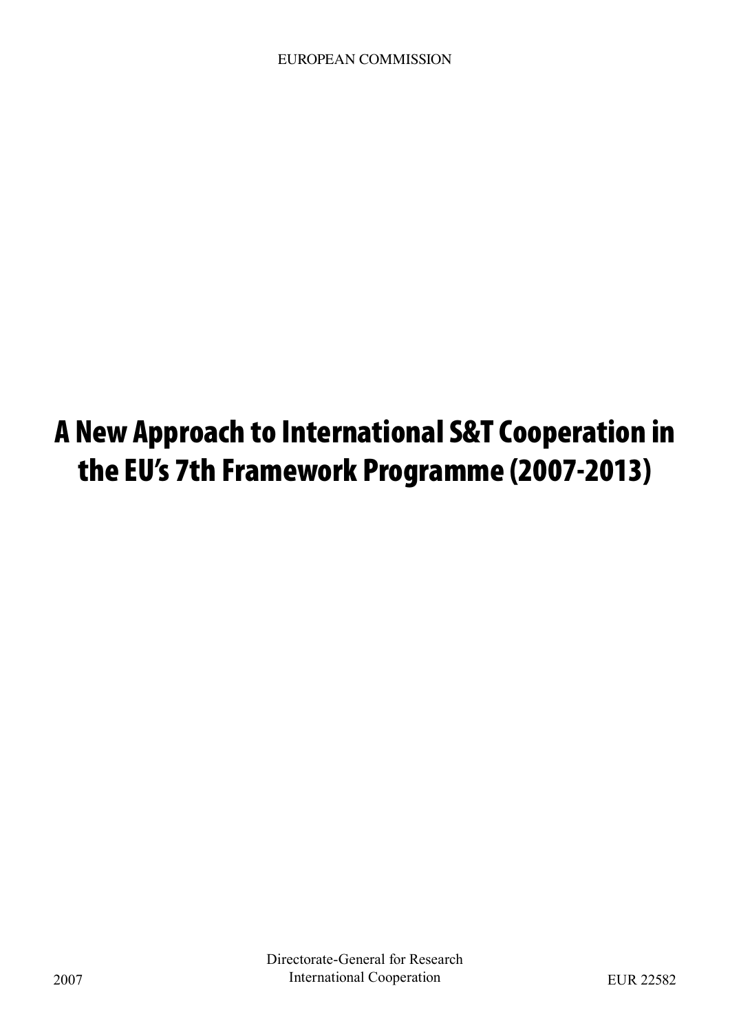# A New Approach to International S&T Cooperation in the EU's 7th Framework Programme (2007-2013)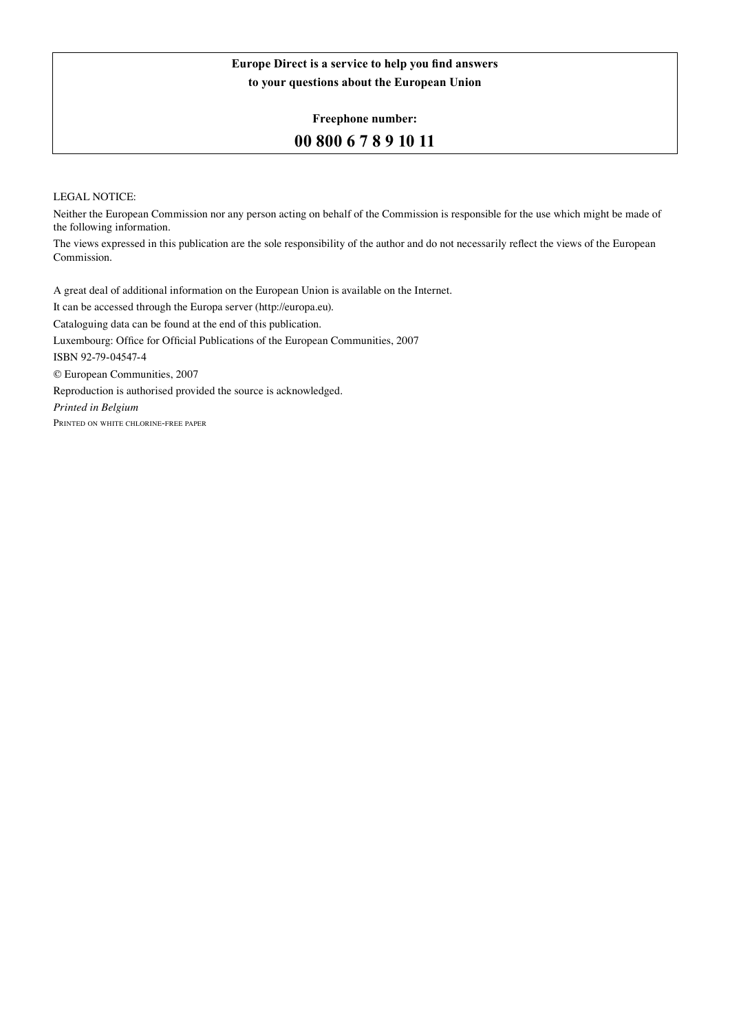#### **Europe Direct is a service to help you find answers to your questions about the European Union**

**Freephone number:**

#### **00 800 6 7 8 9 10 11**

#### LEGAL NOTICE:

Neither the European Commission nor any person acting on behalf of the Commission is responsible for the use which might be made of the following information.

The views expressed in this publication are the sole responsibility of the author and do not necessarily reflect the views of the European Commission.

A great deal of additional information on the European Union is available on the Internet. It can be accessed through the Europa server (http://europa.eu). Cataloguing data can be found at the end of this publication. Luxembourg: Office for Official Publications of the European Communities, 2007 ISBN 92-79-04547-4 © European Communities, 2007 Reproduction is authorised provided the source is acknowledged. *Printed in Belgium* Printed on white chlorine-free paper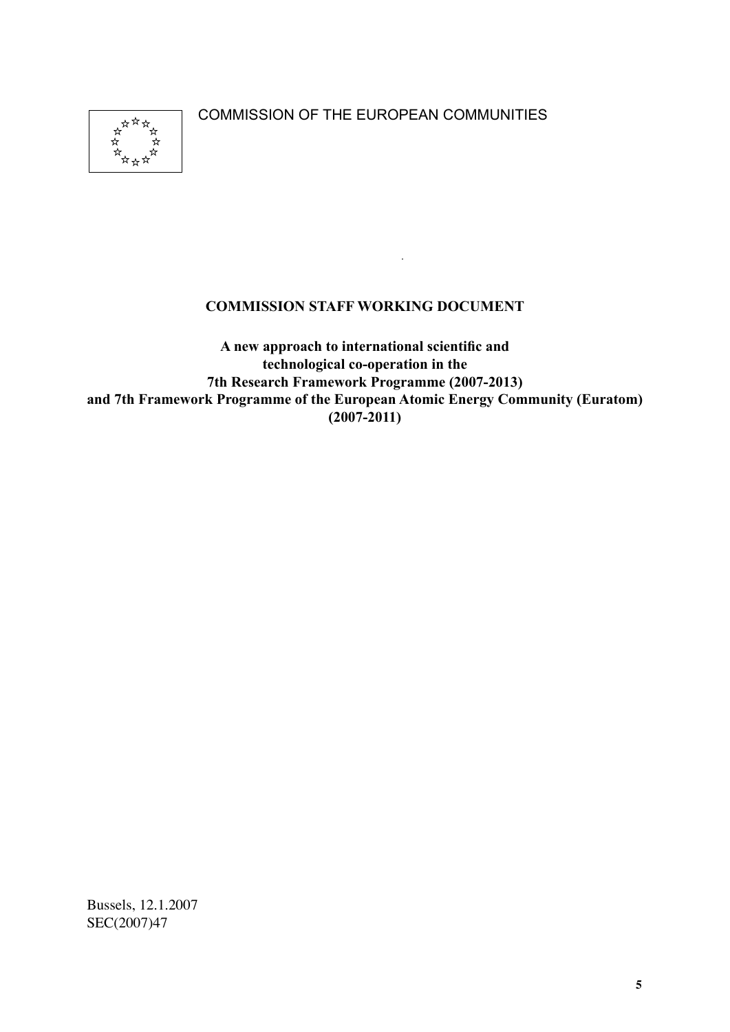COMMISSION OF THE EUROPEAN COMMUNITIES



#### **COMMISSION STAFF WORKING DOCUMENT**

**A new approach to international scientific and technological co-operation in the 7th Research Framework Programme (2007-2013) and 7th Framework Programme of the European Atomic Energy Community (Euratom) (2007-2011)**

Bussels, 12.1.2007 SEC(2007)47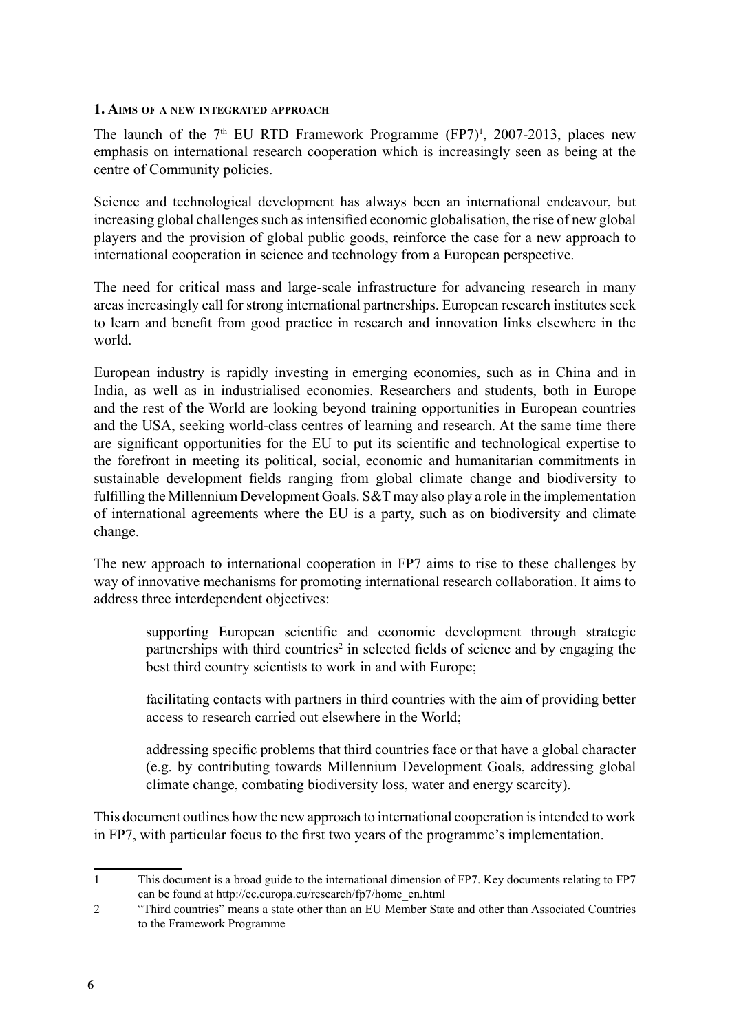#### **1. Aims of a new integrated approach**

The launch of the  $7<sup>th</sup>$  EU RTD Framework Programme (FP7)<sup>1</sup>, 2007-2013, places new emphasis on international research cooperation which is increasingly seen as being at the centre of Community policies.

Science and technological development has always been an international endeavour, but increasing global challenges such as intensified economic globalisation, the rise of new global players and the provision of global public goods, reinforce the case for a new approach to international cooperation in science and technology from a European perspective.

The need for critical mass and large-scale infrastructure for advancing research in many areas increasingly call for strong international partnerships. European research institutes seek to learn and benefit from good practice in research and innovation links elsewhere in the world.

European industry is rapidly investing in emerging economies, such as in China and in India, as well as in industrialised economies. Researchers and students, both in Europe and the rest of the World are looking beyond training opportunities in European countries and the USA, seeking world-class centres of learning and research. At the same time there are significant opportunities for the EU to put its scientific and technological expertise to the forefront in meeting its political, social, economic and humanitarian commitments in sustainable development fields ranging from global climate change and biodiversity to fulfilling the Millennium Development Goals. S&T may also play a role in the implementation of international agreements where the EU is a party, such as on biodiversity and climate change.

The new approach to international cooperation in FP7 aims to rise to these challenges by way of innovative mechanisms for promoting international research collaboration. It aims to address three interdependent objectives:

supporting European scientific and economic development through strategic partnerships with third countries<sup>2</sup> in selected fields of science and by engaging the best third country scientists to work in and with Europe;

facilitating contacts with partners in third countries with the aim of providing better access to research carried out elsewhere in the World;

addressing specific problems that third countries face or that have a global character (e.g. by contributing towards Millennium Development Goals, addressing global climate change, combating biodiversity loss, water and energy scarcity).

This document outlines how the new approach to international cooperation is intended to work in FP7, with particular focus to the first two years of the programme's implementation.

<sup>1</sup> This document is a broad guide to the international dimension of FP7. Key documents relating to FP7 can be found at http://ec.europa.eu/research/fp7/home\_en.html

"Third countries" means a state other than an EU Member State and other than Associated Countries to the Framework Programme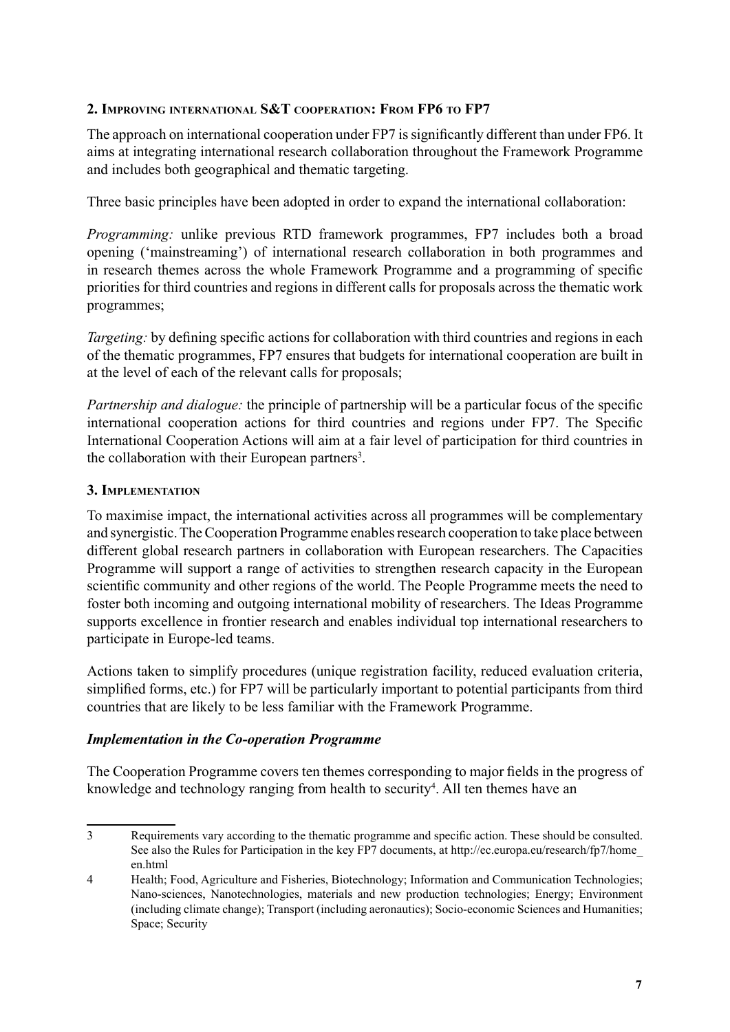#### **2. Improving international S&T cooperation: From FP6 to FP7**

The approach on international cooperation under FP7 is significantly different than under FP6. It aims at integrating international research collaboration throughout the Framework Programme and includes both geographical and thematic targeting.

Three basic principles have been adopted in order to expand the international collaboration:

*Programming:* unlike previous RTD framework programmes, FP7 includes both a broad opening ('mainstreaming') of international research collaboration in both programmes and in research themes across the whole Framework Programme and a programming of specific priorities for third countries and regions in different calls for proposals across the thematic work programmes;

*Targeting:* by defining specific actions for collaboration with third countries and regions in each of the thematic programmes, FP7 ensures that budgets for international cooperation are built in at the level of each of the relevant calls for proposals;

*Partnership and dialogue:* the principle of partnership will be a particular focus of the specific international cooperation actions for third countries and regions under FP7. The Specific International Cooperation Actions will aim at a fair level of participation for third countries in the collaboration with their European partners<sup>3</sup>.

#### **3. Implementation**

To maximise impact, the international activities across all programmes will be complementary and synergistic. The Cooperation Programme enables research cooperation to take place between different global research partners in collaboration with European researchers. The Capacities Programme will support a range of activities to strengthen research capacity in the European scientific community and other regions of the world. The People Programme meets the need to foster both incoming and outgoing international mobility of researchers. The Ideas Programme supports excellence in frontier research and enables individual top international researchers to participate in Europe-led teams.

Actions taken to simplify procedures (unique registration facility, reduced evaluation criteria, simplified forms, etc.) for FP7 will be particularly important to potential participants from third countries that are likely to be less familiar with the Framework Programme.

#### *Implementation in the Co-operation Programme*

The Cooperation Programme covers ten themes corresponding to major fields in the progress of knowledge and technology ranging from health to security<sup>4</sup>. All ten themes have an

Requirements vary according to the thematic programme and specific action. These should be consulted. See also the Rules for Participation in the key FP7 documents, at http://ec.europa.eu/research/fp7/home en.html

<sup>4</sup> Health; Food, Agriculture and Fisheries, Biotechnology; Information and Communication Technologies; Nano-sciences, Nanotechnologies, materials and new production technologies; Energy; Environment (including climate change); Transport (including aeronautics); Socio-economic Sciences and Humanities; Space; Security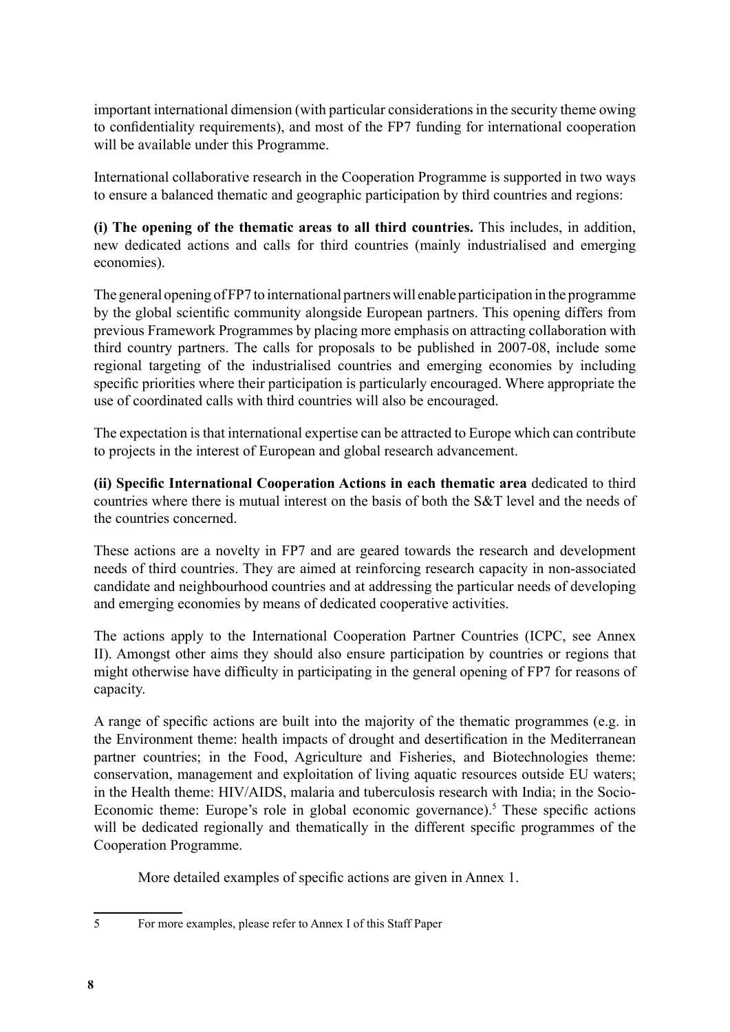important international dimension (with particular considerations in the security theme owing to confidentiality requirements), and most of the FP7 funding for international cooperation will be available under this Programme.

International collaborative research in the Cooperation Programme is supported in two ways to ensure a balanced thematic and geographic participation by third countries and regions:

**(i) The opening of the thematic areas to all third countries.** This includes, in addition, new dedicated actions and calls for third countries (mainly industrialised and emerging economies).

The general opening of FP7 to international partnerswill enable participation in the programme by the global scientific community alongside European partners. This opening differs from previous Framework Programmes by placing more emphasis on attracting collaboration with third country partners. The calls for proposals to be published in 2007-08, include some regional targeting of the industrialised countries and emerging economies by including specific priorities where their participation is particularly encouraged. Where appropriate the use of coordinated calls with third countries will also be encouraged.

The expectation is that international expertise can be attracted to Europe which can contribute to projects in the interest of European and global research advancement.

**(ii) Specific International Cooperation Actions in each thematic area** dedicated to third countries where there is mutual interest on the basis of both the S&T level and the needs of the countries concerned.

These actions are a novelty in FP7 and are geared towards the research and development needs of third countries. They are aimed at reinforcing research capacity in non-associated candidate and neighbourhood countries and at addressing the particular needs of developing and emerging economies by means of dedicated cooperative activities.

The actions apply to the International Cooperation Partner Countries (ICPC, see Annex II). Amongst other aims they should also ensure participation by countries or regions that might otherwise have difficulty in participating in the general opening of FP7 for reasons of capacity.

A range of specific actions are built into the majority of the thematic programmes (e.g. in the Environment theme: health impacts of drought and desertification in the Mediterranean partner countries; in the Food, Agriculture and Fisheries, and Biotechnologies theme: conservation, management and exploitation of living aquatic resources outside EU waters; in the Health theme: HIV/AIDS, malaria and tuberculosis research with India; in the Socio-Economic theme: Europe's role in global economic governance).<sup>5</sup> These specific actions will be dedicated regionally and thematically in the different specific programmes of the Cooperation Programme.

More detailed examples of specific actions are given in Annex 1.

5 For more examples, please refer to Annex I of this Staff Paper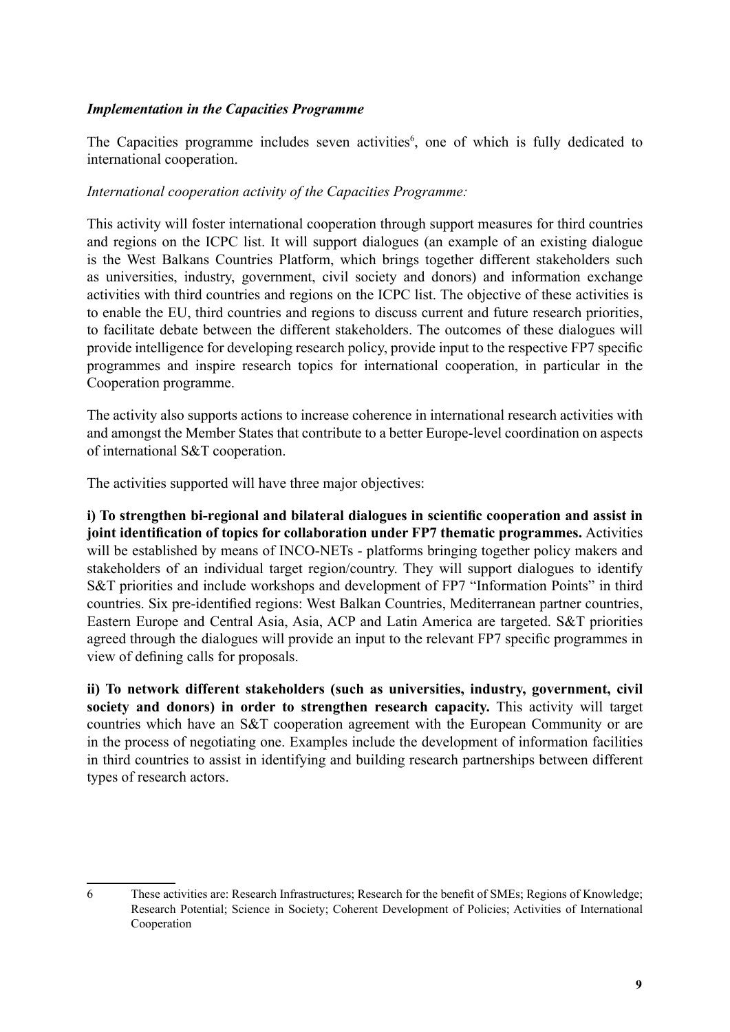#### *Implementation in the Capacities Programme*

The Capacities programme includes seven activities<sup>6</sup>, one of which is fully dedicated to international cooperation.

#### *International cooperation activity of the Capacities Programme:*

This activity will foster international cooperation through support measures for third countries and regions on the ICPC list. It will support dialogues (an example of an existing dialogue is the West Balkans Countries Platform, which brings together different stakeholders such as universities, industry, government, civil society and donors) and information exchange activities with third countries and regions on the ICPC list. The objective of these activities is to enable the EU, third countries and regions to discuss current and future research priorities, to facilitate debate between the different stakeholders. The outcomes of these dialogues will provide intelligence for developing research policy, provide input to the respective FP7 specific programmes and inspire research topics for international cooperation, in particular in the Cooperation programme.

The activity also supports actions to increase coherence in international research activities with and amongst the Member States that contribute to a better Europe-level coordination on aspects of international S&T cooperation.

The activities supported will have three major objectives:

**i) To strengthen bi-regional and bilateral dialogues in scientific cooperation and assist in joint identification of topics for collaboration under FP7 thematic programmes.** Activities will be established by means of INCO-NETs - platforms bringing together policy makers and stakeholders of an individual target region/country. They will support dialogues to identify S&T priorities and include workshops and development of FP7 "Information Points" in third countries. Six pre-identified regions: West Balkan Countries, Mediterranean partner countries, Eastern Europe and Central Asia, Asia, ACP and Latin America are targeted. S&T priorities agreed through the dialogues will provide an input to the relevant FP7 specific programmes in view of defining calls for proposals.

**ii) To network different stakeholders (such as universities, industry, government, civil society and donors) in order to strengthen research capacity.** This activity will target countries which have an S&T cooperation agreement with the European Community or are in the process of negotiating one. Examples include the development of information facilities in third countries to assist in identifying and building research partnerships between different types of research actors.

<sup>6</sup> These activities are: Research Infrastructures; Research for the benefit of SMEs; Regions of Knowledge; Research Potential; Science in Society; Coherent Development of Policies; Activities of International Cooperation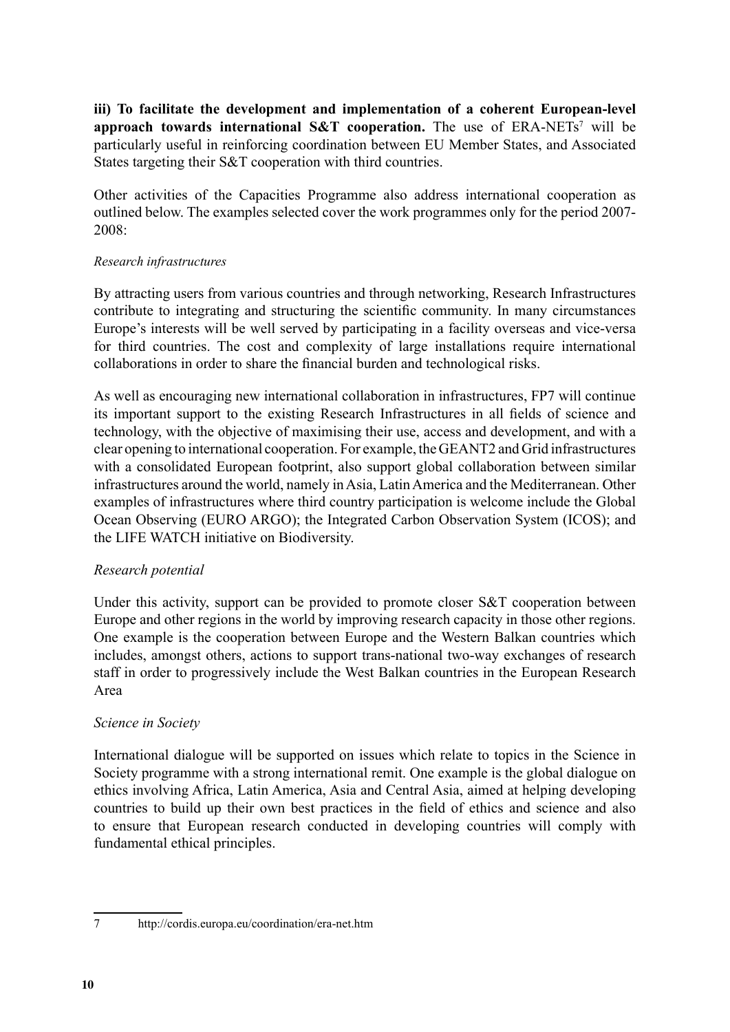**iii) To facilitate the development and implementation of a coherent European-level**  approach towards international S&T cooperation. The use of ERA-NETs<sup>7</sup> will be particularly useful in reinforcing coordination between EU Member States, and Associated States targeting their S&T cooperation with third countries.

Other activities of the Capacities Programme also address international cooperation as outlined below. The examples selected cover the work programmes only for the period 2007- 2008:

#### *Research infrastructures*

By attracting users from various countries and through networking, Research Infrastructures contribute to integrating and structuring the scientific community. In many circumstances Europe's interests will be well served by participating in a facility overseas and vice-versa for third countries. The cost and complexity of large installations require international collaborations in order to share the financial burden and technological risks.

As well as encouraging new international collaboration in infrastructures, FP7 will continue its important support to the existing Research Infrastructures in all fields of science and technology, with the objective of maximising their use, access and development, and with a clear opening to international cooperation. For example, theGEANT2 and Grid infrastructures with a consolidated European footprint, also support global collaboration between similar infrastructures around the world, namely in Asia, Latin America and the Mediterranean. Other examples of infrastructures where third country participation is welcome include the Global Ocean Observing (EURO ARGO); the Integrated Carbon Observation System (ICOS); and the LIFE WATCH initiative on Biodiversity.

#### *Research potential*

Under this activity, support can be provided to promote closer S&T cooperation between Europe and other regions in the world by improving research capacity in those other regions. One example is the cooperation between Europe and the Western Balkan countries which includes, amongst others, actions to support trans-national two-way exchanges of research staff in order to progressively include the West Balkan countries in the European Research Area

#### *Science in Society*

International dialogue will be supported on issues which relate to topics in the Science in Society programme with a strong international remit. One example is the global dialogue on ethics involving Africa, Latin America, Asia and Central Asia, aimed at helping developing countries to build up their own best practices in the field of ethics and science and also to ensure that European research conducted in developing countries will comply with fundamental ethical principles.

<sup>7</sup> http://cordis.europa.eu/coordination/era-net.htm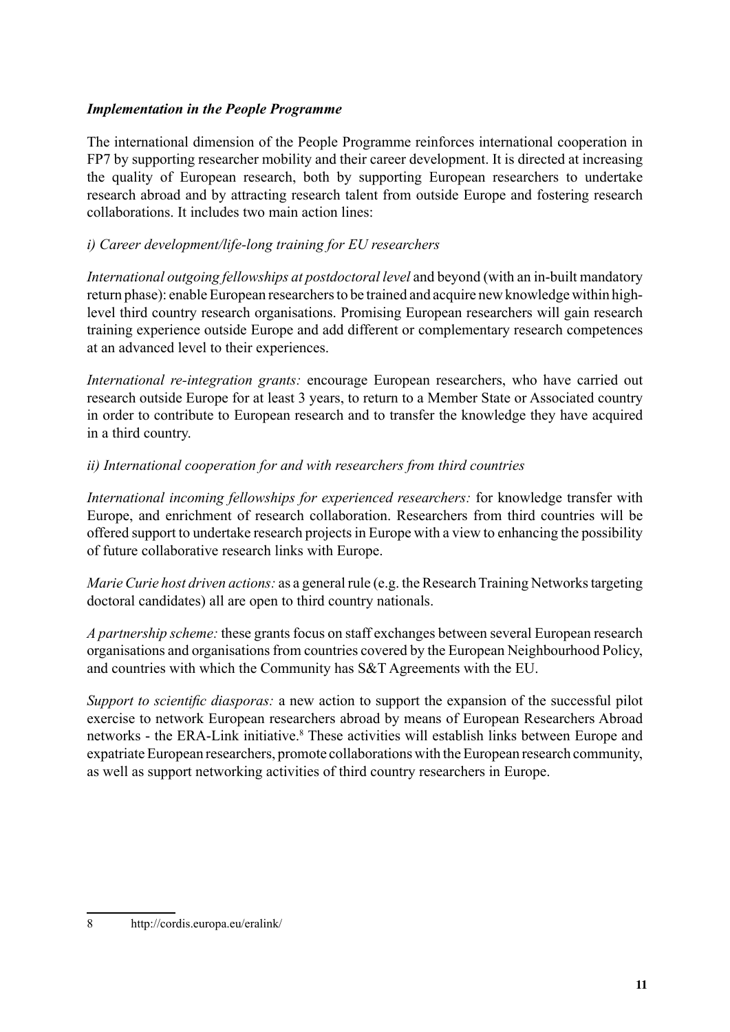#### *Implementation in the People Programme*

The international dimension of the People Programme reinforces international cooperation in FP7 by supporting researcher mobility and their career development. It is directed at increasing the quality of European research, both by supporting European researchers to undertake research abroad and by attracting research talent from outside Europe and fostering research collaborations. It includes two main action lines:

#### *i) Career development/life-long training for EU researchers*

*International outgoing fellowships at postdoctoral level* and beyond (with an in-built mandatory return phase): enable European researchers to be trained and acquire new knowledge within highlevel third country research organisations. Promising European researchers will gain research training experience outside Europe and add different or complementary research competences at an advanced level to their experiences.

*International re-integration grants:* encourage European researchers, who have carried out research outside Europe for at least 3 years, to return to a Member State or Associated country in order to contribute to European research and to transfer the knowledge they have acquired in a third country.

#### *ii) International cooperation for and with researchers from third countries*

*International incoming fellowships for experienced researchers:* for knowledge transfer with Europe, and enrichment of research collaboration. Researchers from third countries will be offered support to undertake research projects in Europe with a view to enhancing the possibility of future collaborative research links with Europe.

*Marie Curie host driven actions:* as a general rule (e.g. the Research Training Networks targeting doctoral candidates) all are open to third country nationals.

*A partnership scheme:* these grants focus on staff exchanges between several European research organisations and organisations from countries covered by the European Neighbourhood Policy, and countries with which the Community has S&T Agreements with the EU.

*Support to scientific diasporas:* a new action to support the expansion of the successful pilot exercise to network European researchers abroad by means of European Researchers Abroad networks - the ERA-Link initiative.<sup>8</sup> These activities will establish links between Europe and expatriate European researchers, promote collaborations with the European research community, as well as support networking activities of third country researchers in Europe.

<sup>8</sup> http://cordis.europa.eu/eralink/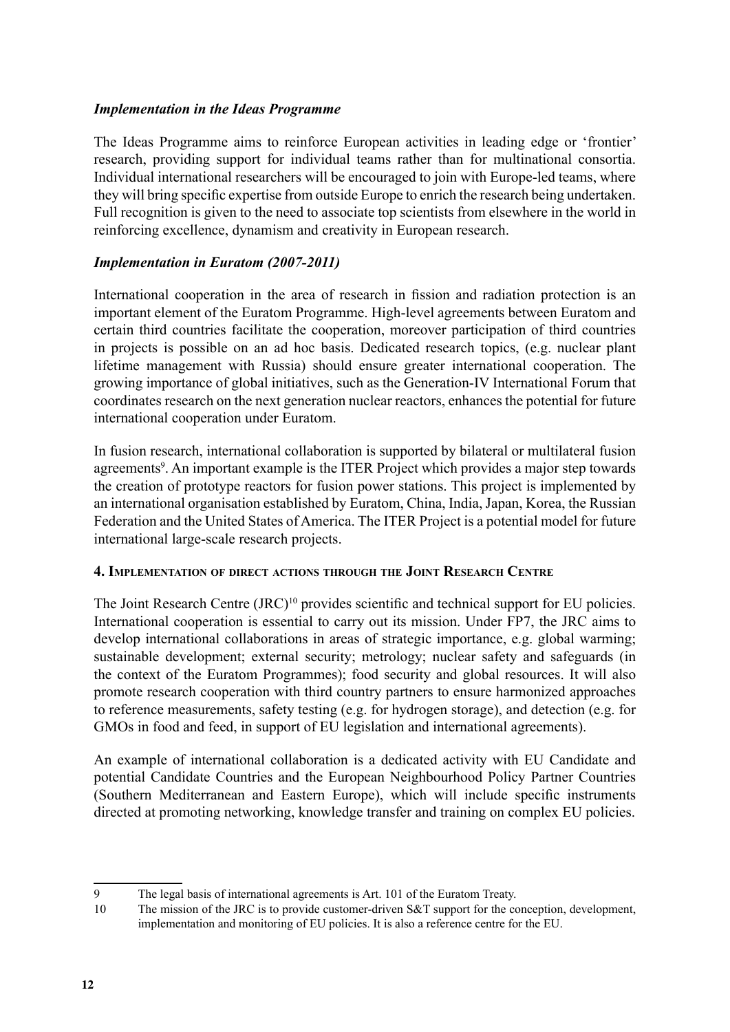#### *Implementation in the Ideas Programme*

The Ideas Programme aims to reinforce European activities in leading edge or 'frontier' research, providing support for individual teams rather than for multinational consortia. Individual international researchers will be encouraged to join with Europe-led teams, where they will bring specific expertise from outside Europe to enrich the research being undertaken. Full recognition is given to the need to associate top scientists from elsewhere in the world in reinforcing excellence, dynamism and creativity in European research.

#### *Implementation in Euratom (2007-2011)*

International cooperation in the area of research in fission and radiation protection is an important element of the Euratom Programme. High-level agreements between Euratom and certain third countries facilitate the cooperation, moreover participation of third countries in projects is possible on an ad hoc basis. Dedicated research topics, (e.g. nuclear plant lifetime management with Russia) should ensure greater international cooperation. The growing importance of global initiatives, such as the Generation-IV International Forum that coordinates research on the next generation nuclear reactors, enhances the potential for future international cooperation under Euratom.

In fusion research, international collaboration is supported by bilateral or multilateral fusion agreements<sup>9</sup>. An important example is the ITER Project which provides a major step towards the creation of prototype reactors for fusion power stations. This project is implemented by an international organisation established by Euratom, China, India, Japan, Korea, the Russian Federation and the United States of America. The ITER Project is a potential model for future international large-scale research projects.

#### **4. Implementation of direct actions through the Joint Research Centre**

The Joint Research Centre (JRC)<sup>10</sup> provides scientific and technical support for EU policies. International cooperation is essential to carry out its mission. Under FP7, the JRC aims to develop international collaborations in areas of strategic importance, e.g. global warming; sustainable development; external security; metrology; nuclear safety and safeguards (in the context of the Euratom Programmes); food security and global resources. It will also promote research cooperation with third country partners to ensure harmonized approaches to reference measurements, safety testing (e.g. for hydrogen storage), and detection (e.g. for GMOs in food and feed, in support of EU legislation and international agreements).

An example of international collaboration is a dedicated activity with EU Candidate and potential Candidate Countries and the European Neighbourhood Policy Partner Countries (Southern Mediterranean and Eastern Europe), which will include specific instruments directed at promoting networking, knowledge transfer and training on complex EU policies.

<sup>9</sup> The legal basis of international agreements is Art. 101 of the Euratom Treaty.

<sup>10</sup> The mission of the JRC is to provide customer-driven S&T support for the conception, development, implementation and monitoring of EU policies. It is also a reference centre for the EU.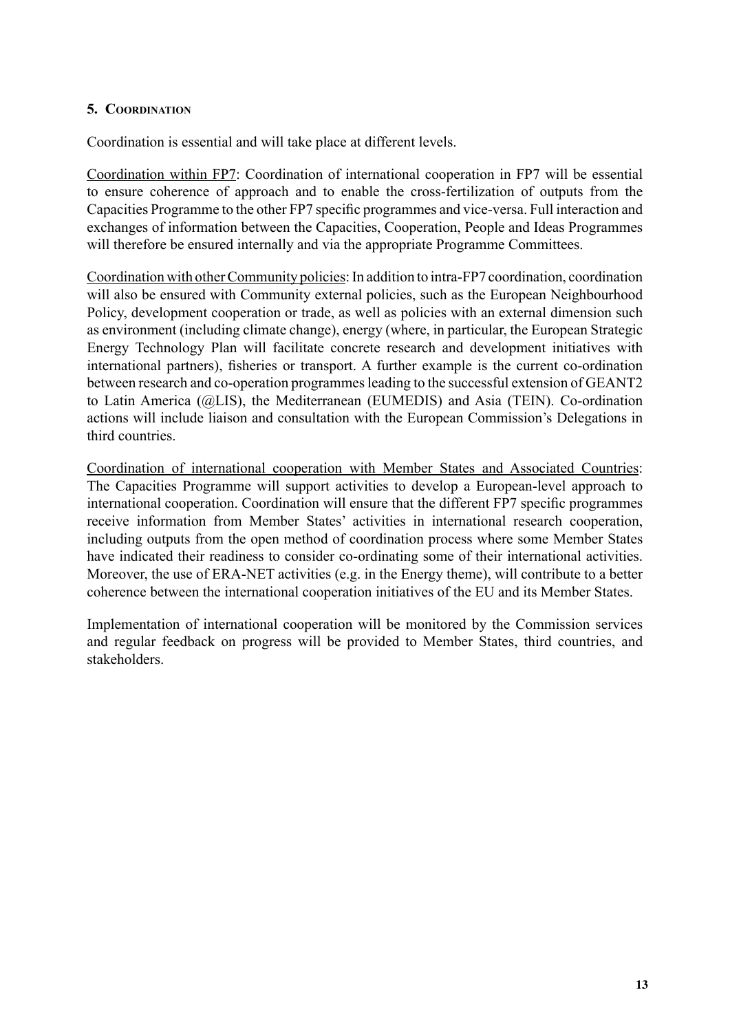#### **5. Coordination**

Coordination is essential and will take place at different levels.

Coordination within FP7: Coordination of international cooperation in FP7 will be essential to ensure coherence of approach and to enable the cross-fertilization of outputs from the Capacities Programme to the other FP7 specific programmes and vice-versa. Full interaction and exchanges of information between the Capacities, Cooperation, People and Ideas Programmes will therefore be ensured internally and via the appropriate Programme Committees.

Coordination with other Community policies: In addition to intra-FP7 coordination, coordination will also be ensured with Community external policies, such as the European Neighbourhood Policy, development cooperation or trade, as well as policies with an external dimension such as environment (including climate change), energy (where, in particular, the European Strategic Energy Technology Plan will facilitate concrete research and development initiatives with international partners), fisheries or transport. A further example is the current co-ordination between research and co-operation programmes leading to the successful extension of GEANT2 to Latin America (@LIS), the Mediterranean (EUMEDIS) and Asia (TEIN). Co-ordination actions will include liaison and consultation with the European Commission's Delegations in third countries.

Coordination of international cooperation with Member States and Associated Countries: The Capacities Programme will support activities to develop a European-level approach to international cooperation. Coordination will ensure that the different FP7 specific programmes receive information from Member States' activities in international research cooperation, including outputs from the open method of coordination process where some Member States have indicated their readiness to consider co-ordinating some of their international activities. Moreover, the use of ERA-NET activities (e.g. in the Energy theme), will contribute to a better coherence between the international cooperation initiatives of the EU and its Member States.

Implementation of international cooperation will be monitored by the Commission services and regular feedback on progress will be provided to Member States, third countries, and stakeholders.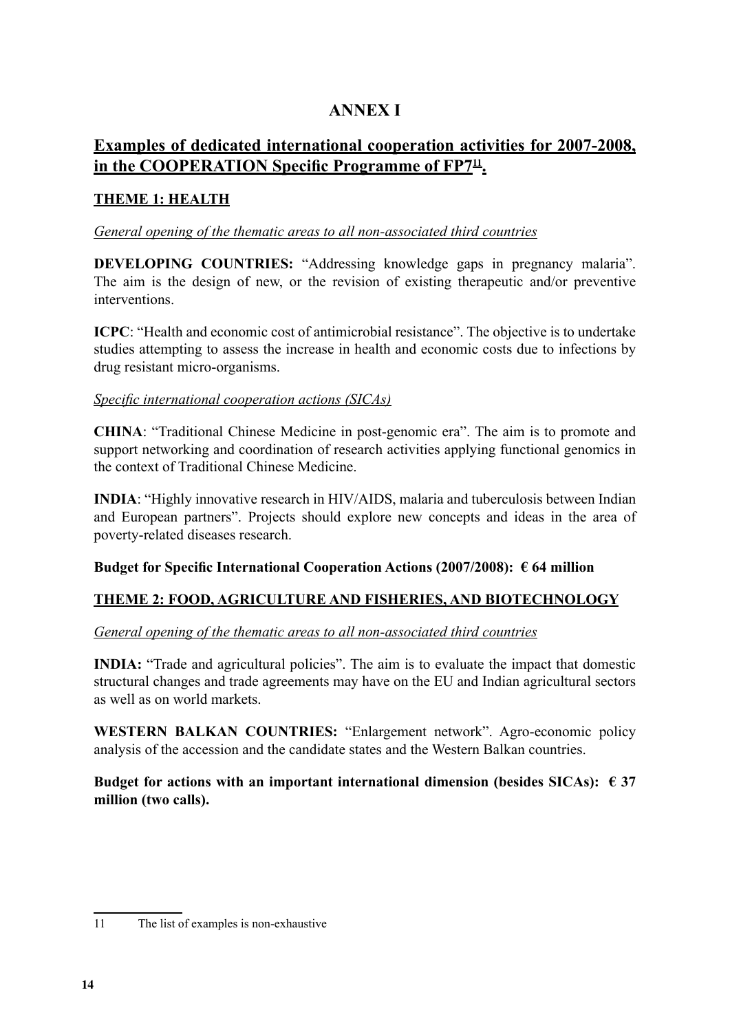#### **ANNEX I**

#### **Examples of dedicated international cooperation activities for 2007-2008, in the COOPERATION Specific Programme of FP711.**

#### **THEME 1: HEALTH**

#### *General opening of the thematic areas to all non-associated third countries*

**DEVELOPING COUNTRIES:** "Addressing knowledge gaps in pregnancy malaria". The aim is the design of new, or the revision of existing therapeutic and/or preventive interventions.

**ICPC**: "Health and economic cost of antimicrobial resistance". The objective is to undertake studies attempting to assess the increase in health and economic costs due to infections by drug resistant micro-organisms.

#### *Specific international cooperation actions (SICAs)*

**CHINA**: "Traditional Chinese Medicine in post-genomic era". The aim is to promote and support networking and coordination of research activities applying functional genomics in the context of Traditional Chinese Medicine.

**INDIA**: "Highly innovative research in HIV/AIDS, malaria and tuberculosis between Indian and European partners". Projects should explore new concepts and ideas in the area of poverty-related diseases research.

#### **Budget for Specific International Cooperation Actions (2007/2008): € 64 million**

#### **THEME 2: FOOD, AGRICULTURE AND FISHERIES, AND BIOTECHNOLOGY**

#### *General opening of the thematic areas to all non-associated third countries*

**INDIA:** "Trade and agricultural policies". The aim is to evaluate the impact that domestic structural changes and trade agreements may have on the EU and Indian agricultural sectors as well as on world markets.

**WESTERN BALKAN COUNTRIES:** "Enlargement network". Agro-economic policy analysis of the accession and the candidate states and the Western Balkan countries.

Budget for actions with an important international dimension (besides SICAs):  $\epsilon$  37 **million (two calls).**

<sup>11</sup> The list of examples is non-exhaustive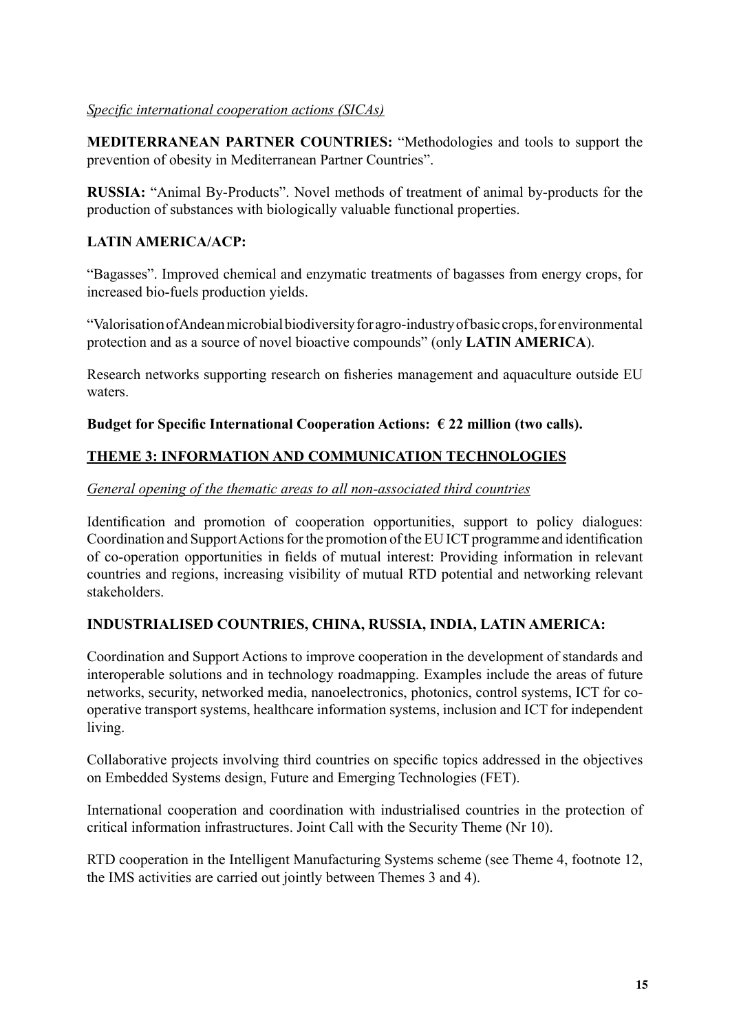#### *Specific international cooperation actions (SICAs)*

**MEDITERRANEAN PARTNER COUNTRIES:** "Methodologies and tools to support the prevention of obesity in Mediterranean Partner Countries".

**RUSSIA:** "Animal By-Products". Novel methods of treatment of animal by-products for the production of substances with biologically valuable functional properties.

#### **Latin America/ACP:**

"Bagasses". Improved chemical and enzymatic treatments of bagasses from energy crops, for increased bio-fuels production yields.

"Valorisation of Andean microbial biodiversity for agro-industry of basic crops, for environmental protection and as a source of novel bioactive compounds" (only **LATIN AMERICA**).

Research networks supporting research on fisheries management and aquaculture outside EU waters.

#### Budget for Specific International Cooperation Actions:  $\epsilon$  22 million (two calls).

#### **THEME 3: INFORMATION AND COMMUNICATION TECHNOLOGIES**

#### *General opening of the thematic areas to all non-associated third countries*

Identification and promotion of cooperation opportunities, support to policy dialogues: Coordination and Support Actions for the promotion of the EU ICT programme and identification of co-operation opportunities in fields of mutual interest: Providing information in relevant countries and regions, increasing visibility of mutual RTD potential and networking relevant stakeholders.

#### **INDUSTRIALISED COUNTRIES, CHINA, RUSSIA, INDIA, LATIN AMERICA:**

Coordination and Support Actions to improve cooperation in the development of standards and interoperable solutions and in technology roadmapping. Examples include the areas of future networks, security, networked media, nanoelectronics, photonics, control systems, ICT for cooperative transport systems, healthcare information systems, inclusion and ICT for independent living.

Collaborative projects involving third countries on specific topics addressed in the objectives on Embedded Systems design, Future and Emerging Technologies (FET).

International cooperation and coordination with industrialised countries in the protection of critical information infrastructures. Joint Call with the Security Theme (Nr 10).

RTD cooperation in the Intelligent Manufacturing Systems scheme (see Theme 4, footnote 12, the IMS activities are carried out jointly between Themes 3 and 4).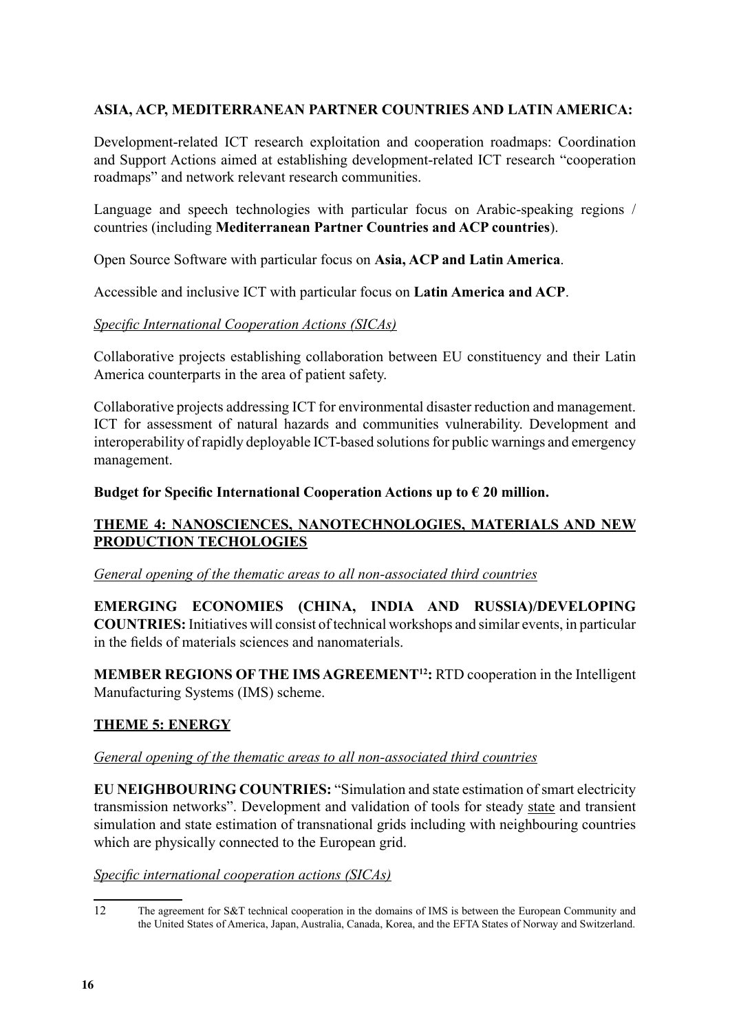#### **ASIA, ACP, MEDITERRANEAN PARTNER COUNTRIES AND LATIN AMERICA:**

Development-related ICT research exploitation and cooperation roadmaps: Coordination and Support Actions aimed at establishing development-related ICT research "cooperation roadmaps" and network relevant research communities.

Language and speech technologies with particular focus on Arabic-speaking regions / countries (including **Mediterranean Partner Countries and ACP countries**).

Open Source Software with particular focus on **Asia, ACP and Latin America**.

Accessible and inclusive ICT with particular focus on **Latin America and ACP**.

#### *Specific International Cooperation Actions (SICAs)*

Collaborative projects establishing collaboration between EU constituency and their Latin America counterparts in the area of patient safety.

Collaborative projects addressing ICT for environmental disaster reduction and management. ICT for assessment of natural hazards and communities vulnerability. Development and interoperability of rapidly deployable ICT-based solutions for public warnings and emergency management.

#### **Budget for Specific International Cooperation Actions up to € 20 million.**

#### **THEME 4: NANOSCIENCES, NANOTECHNOLOGIES, MATERIALS AND NEW PRODUCTION TECHOLOGIES**

#### *General opening of the thematic areas to all non-associated third countries*

**emerging economies (China, India and Russia)/developing COUNTRIES:** Initiatives will consist of technical workshops and similar events, in particular in the fields of materials sciences and nanomaterials.

**MEMBER REGIONS OF THE IMS AGREEMENT<sup>12</sup>:** RTD cooperation in the Intelligent Manufacturing Systems (IMS) scheme.

#### **THEME 5: ENERGY**

#### *General opening of the thematic areas to all non-associated third countries*

**EU NEIGHBOURING COUNTRIES:** "Simulation and state estimation of smart electricity transmission networks". Development and validation of tools for steady state and transient simulation and state estimation of transnational grids including with neighbouring countries which are physically connected to the European grid.

#### *Specific international cooperation actions (SICAs)*

<sup>12</sup> The agreement for S&T technical cooperation in the domains of IMS is between the European Community and the United States of America, Japan, Australia, Canada, Korea, and the EFTA States of Norway and Switzerland.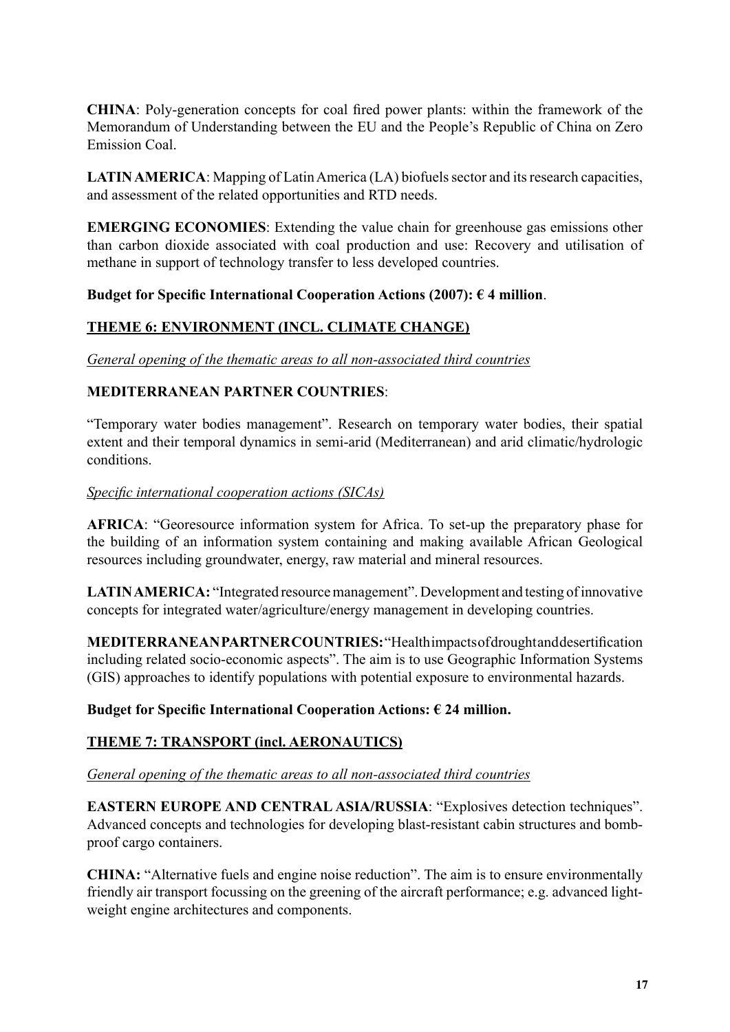**China**: Poly-generation concepts for coal fired power plants: within the framework of the Memorandum of Understanding between the EU and the People's Republic of China on Zero Emission Coal.

**LATIN AMERICA**: Mapping of Latin America (LA) biofuels sector and its research capacities, and assessment of the related opportunities and RTD needs.

**EMERGING ECONOMIES**: Extending the value chain for greenhouse gas emissions other than carbon dioxide associated with coal production and use: Recovery and utilisation of methane in support of technology transfer to less developed countries.

#### **Budget for Specific International Cooperation Actions (2007): € 4 million**.

#### **THEME 6: ENVIRONMENT (incl. CLIMATE CHANGE)**

*General opening of the thematic areas to all non-associated third countries*

#### **Mediterranean Partner Countries**:

"Temporary water bodies management". Research on temporary water bodies, their spatial extent and their temporal dynamics in semi-arid (Mediterranean) and arid climatic/hydrologic conditions.

#### *Specific international cooperation actions (SICAs)*

**AFRICA**: "Georesource information system for Africa. To set-up the preparatory phase for the building of an information system containing and making available African Geological resources including groundwater, energy, raw material and mineral resources.

**LATIN AMERICA:** "Integrated resource management". Development and testing of innovative concepts for integrated water/agriculture/energy management in developing countries.

**MEDITERRANEAN PARTNER COUNTRIES:** "Health impacts of drought and desertification including related socio-economic aspects". The aim is to use Geographic Information Systems (GIS) approaches to identify populations with potential exposure to environmental hazards.

#### **Budget for Specific International Cooperation Actions: € 24 million.**

#### **THEME 7: TRANSPORT (incl. AERONAUTICS)**

#### *General opening of the thematic areas to all non-associated third countries*

**EASTERN EUROPE AND CENTRAL ASIA/RUSSIA: "Explosives detection techniques".** Advanced concepts and technologies for developing blast-resistant cabin structures and bombproof cargo containers.

**CHINA:** "Alternative fuels and engine noise reduction". The aim is to ensure environmentally friendly air transport focussing on the greening of the aircraft performance; e.g. advanced lightweight engine architectures and components.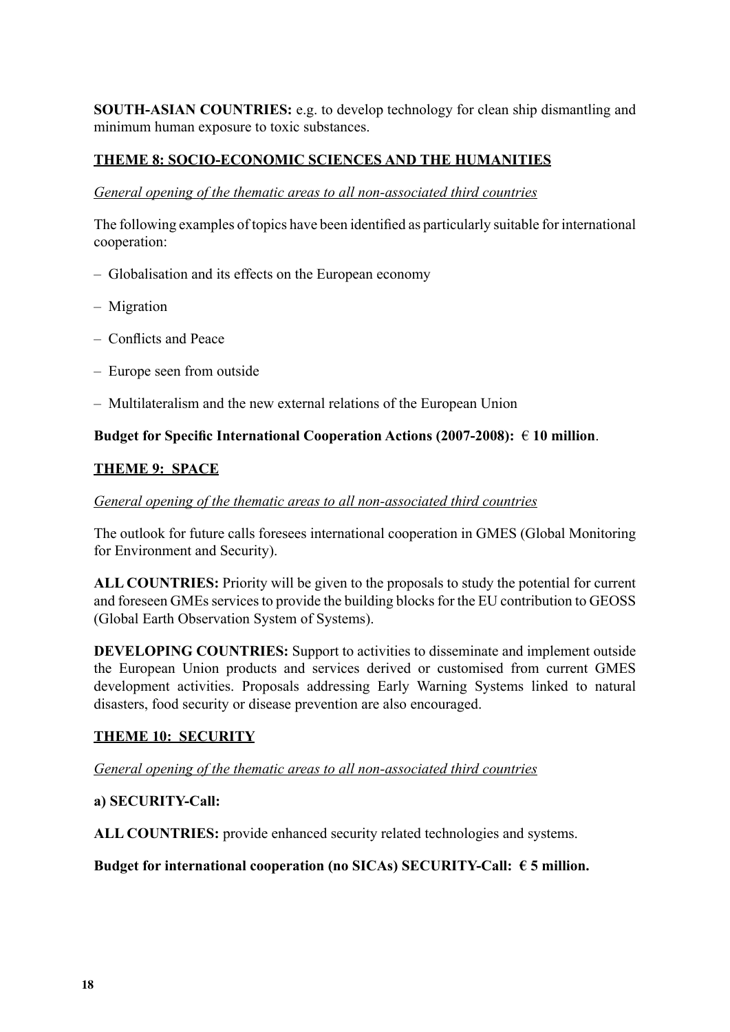**SOUTH-ASIAN COUNTRIES:** e.g. to develop technology for clean ship dismantling and minimum human exposure to toxic substances.

#### **THEME 8: SOCIO-ECONOMIC SCIENCES AND THE HUMANITIES**

#### *General opening of the thematic areas to all non-associated third countries*

The following examples of topics have been identified as particularly suitable for international cooperation:

- Globalisation and its effects on the European economy
- Migration
- Conflicts and Peace
- Europe seen from outside
- Multilateralism and the new external relations of the European Union

#### **Budget for Specific International Cooperation Actions (2007-2008):** € **10 million**.

#### **THEME 9: SPACE**

#### *General opening of the thematic areas to all non-associated third countries*

The outlook for future calls foresees international cooperation in GMES (Global Monitoring for Environment and Security).

**ALL COUNTRIES:** Priority will be given to the proposals to study the potential for current and foreseen GMEs services to provide the building blocks for the EU contribution to GEOSS (Global Earth Observation System of Systems).

**DEVELOPING COUNTRIES:** Support to activities to disseminate and implement outside the European Union products and services derived or customised from current GMES development activities. Proposals addressing Early Warning Systems linked to natural disasters, food security or disease prevention are also encouraged.

#### **THEME 10: SECURITY**

#### *General opening of the thematic areas to all non-associated third countries*

#### **a) SECURITY-Call:**

**ALL COUNTRIES:** provide enhanced security related technologies and systems.

#### **Budget for international cooperation (no SICAs) SECURITY-Call: € 5 million.**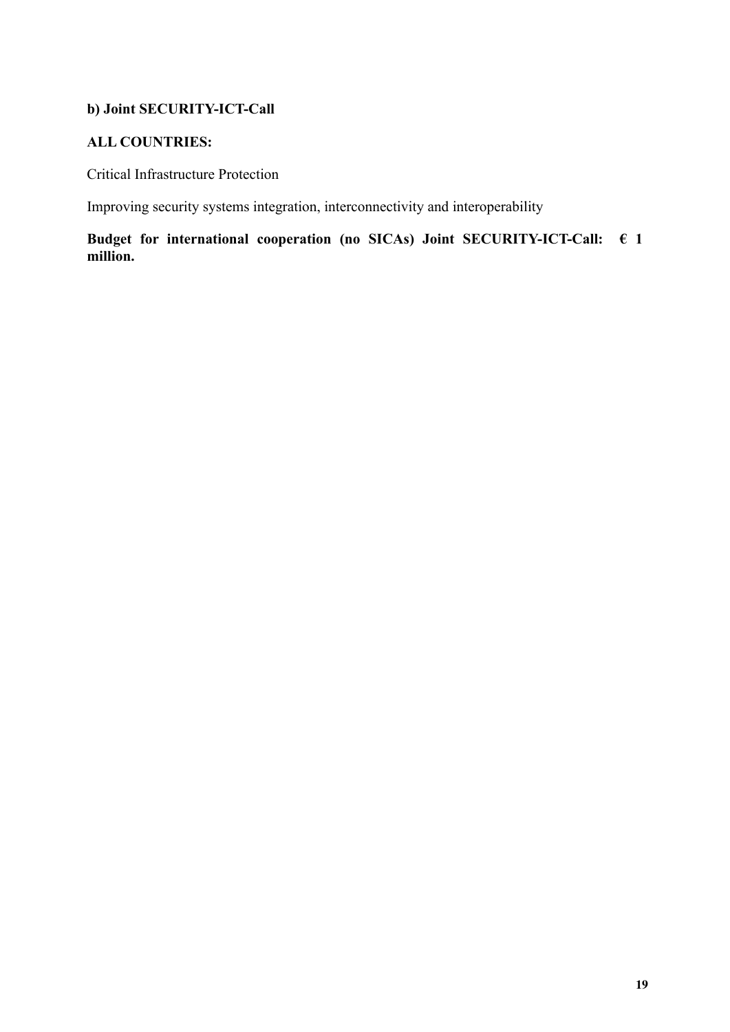#### **b) Joint SECURITY-ICT-Call**

#### **ALL COUNTRIES:**

Critical Infrastructure Protection

Improving security systems integration, interconnectivity and interoperability

**Budget for international cooperation (no SICAs) Joint SECURITY-ICT-Call: € 1 million.**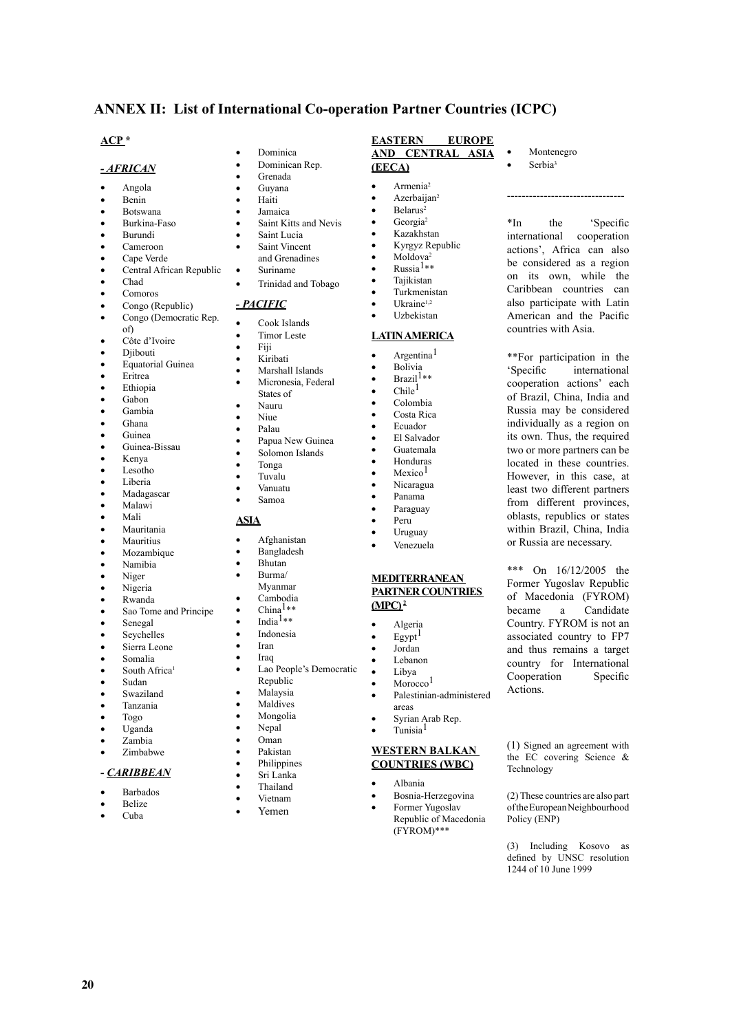#### **ANNEX II: List of International Co-operation Partner Countries (ICPC)**

**EASTERN EUROPE AND CENTRAL ASIA** 

**Montenegro** Serbia<sup>3</sup>

--------------------------------

\*In the 'Specific international cooperation actions', Africa can also be considered as a region on its own, while the Caribbean countries can also participate with Latin American and the Pacific countries with Asia.

\*\*For participation in the 'Specific international cooperation actions' each of Brazil, China, India and Russia may be considered individually as a region on its own. Thus, the required two or more partners can be located in these countries. However, in this case, at least two different partners from different provinces, oblasts, republics or states within Brazil, China, India or Russia are necessary.

\*\*\* On 16/12/2005 the Former Yugoslav Republic of Macedonia (FYROM) became a Candidate Country. FYROM is not an associated country to FP7 and thus remains a target country for International Cooperation Specific

(1) Signed an agreement with the EC covering Science &

(2) These countries are also part of the European Neighbourhood

(3) Including Kosovo as defined by UNSC resolution 1244 of 10 June 1999

Actions.

Technology

Policy (ENP)

**(EECA)**

 $A$ rmenia<sup>2</sup> Azerbaijan<sup>2</sup> Belarus<sup>2</sup> Georgia<sup>2</sup> **Kazakhstan** Kyrgyz Republic

• Moldova<sup>2</sup>  $Russia<sup>1**</sup>$ **Tajikistan Turkmenistan** Ukraine<sup>1,2</sup> Uzbekistan **LATIN AMERICA** Argentina<sup>1</sup> **Bolivia**  $Brazil<sup>1**</sup>$  $\bullet$  Chile<sup>1</sup> Colombia Costa Rica • Ecuador El Salvador Guatemala **Honduras** Mexico<sup>1</sup> Nicaragua • Panama Paraguay Peru. **Uruguay Venezuela** 

**MEDITERRANEAN PARTNER COUNTRIES** 

Palestinian-administered

Syrian Arab Rep. Tunisia<sup>1</sup>

**WESTERN BALKAN COUNTRIES (WBC)** • Albania

> Bosnia-Herzegovina Former Yugoslav Republic of Macedonia (FYROM)\*\*\*

**Algeria**  $Egypt$ <sup>1</sup> Jordan Lebanon Libya  $M$ orocco $<sup>1</sup>$ </sup>

areas

**(MPC) 2**

#### **ACP \***

#### *- AFRICAN*

- Angola
- **Benin**
- **Botswana**
- Burkina-Faso
- **Burundi**
- Cameroon
- Cape Verde
- Central African Republic
- Chad
- • Comoros
- Congo (Republic)
- Congo (Democratic Rep.
- of)
- Côte d'Ivoire **Diibouti**
- **Equatorial Guinea**
- • Eritrea
- **Ethiopia**
- Gabon
- • Gambia
- Ghana
- Guinea
- Guinea-Bissau
- • Kenya
- Lesotho
- Liberia
- Madagascar
- **Malawi**
- • Mali
- **Mauritania**
- **Mauritius**
- **Mozambique**
- Namibia
- Niger
- Nigeria Rwanda
- 
- Sao Tome and Principe Senegal
- Seychelles
- Sierra Leone
- • Somalia
- South Africa<sup>1</sup>
- Sudan
- Swaziland
- **Tanzania**
- • Togo
- Uganda
- • Zambia
- Zimbabwe

#### **-** *CARIBBEAN*

- **Barbados**
- **Belize**
- • Cuba

**20**

- **Dominica**
- Dominican Rep. Grenada
- Guyana
- **Haiti**
- **Iamaica**
- Saint Kitts and Nevis
- Saint Lucia
- Saint Vincent
- and Grenadines
- Suriname
- Trinidad and Tobago

#### *- PACIFIC*

- Cook Islands
- Timor Leste
- Fiii
- **Kiribati**
- Marshall Islands
- Micronesia, Federal States of
- 
- • Nauru Niue
- 
- Palau
- Papua New Guinea Solomon Islands
- Tonga
- • Tuvalu
- **Vanuatu**
- Samoa

#### **ASIA**

- 
- **Afghanistan**
- **Bangladesh** • Bhutan
- • Burma/
- Myanmar
- Cambodia
- $China<sup>1**</sup>$
- $\mathbf{India^{1**}}$
- **Indonesia**
- 
- • Iran
	- **Iraq**

**Philippines** Sri Lanka **Thailand Vietnam** Yemen

- Lao People's Democratic Republic
- Malaysia
- **Maldives**
- **Mongolia**
- Nepal
- • Oman Pakistan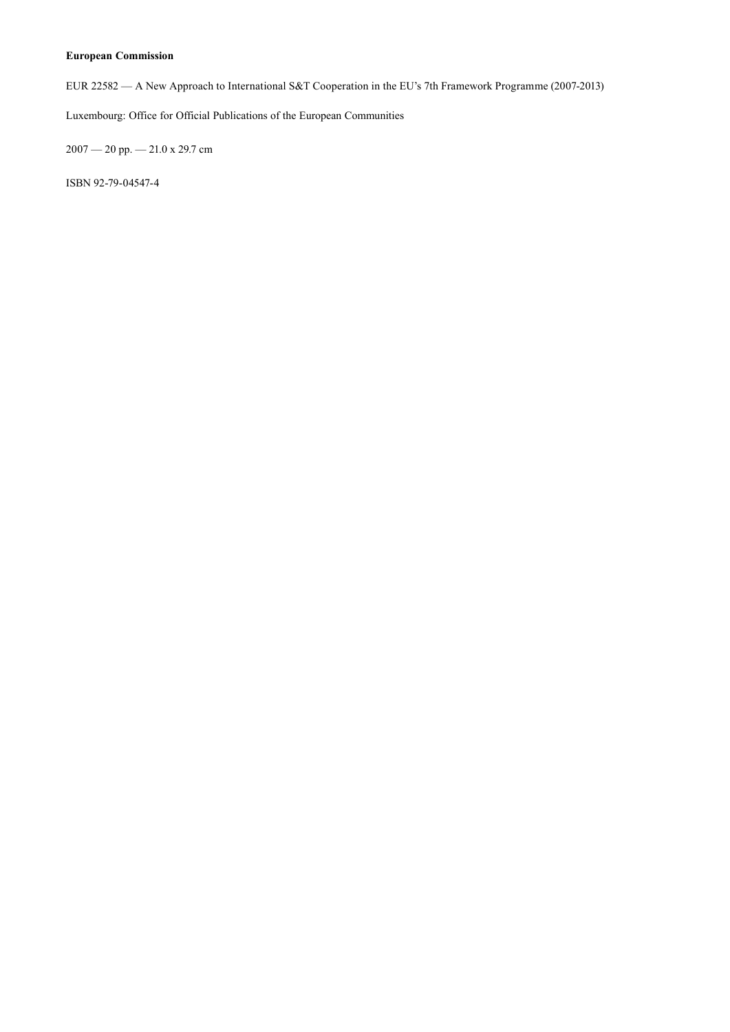#### **European Commission**

EUR 22582 — A New Approach to International S&T Cooperation in the EU's 7th Framework Programme (2007-2013)

Luxembourg: Office for Official Publications of the European Communities

2007 — 20 pp. — 21.0 x 29.7 cm

ISBN 92-79-04547-4